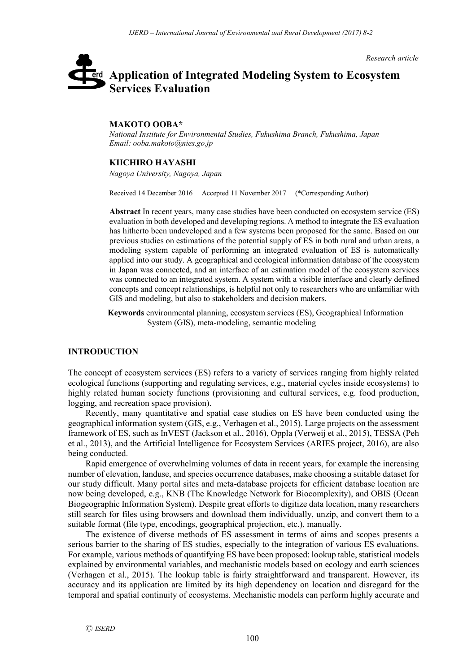*Research article*

# **Application of Integrated Modeling System to Ecosystem**  erd **Services Evaluation**

## **MAKOTO OOBA\***

*National Institute for Environmental Studies, Fukushima Branch, Fukushima, Japan Email: ooba.makoto@nies.go.jp*

## **KIICHIRO HAYASHI**

*Nagoya University, Nagoya, Japan*

Received 14 December 2016 Accepted 11 November 2017 (\*Corresponding Author)

**Abstract** In recent years, many case studies have been conducted on ecosystem service (ES) evaluation in both developed and developing regions. A method to integrate the ES evaluation has hitherto been undeveloped and a few systems been proposed for the same. Based on our previous studies on estimations of the potential supply of ES in both rural and urban areas, a modeling system capable of performing an integrated evaluation of ES is automatically applied into our study. A geographical and ecological information database of the ecosystem in Japan was connected, and an interface of an estimation model of the ecosystem services was connected to an integrated system. A system with a visible interface and clearly defined concepts and concept relationships, is helpful not only to researchers who are unfamiliar with GIS and modeling, but also to stakeholders and decision makers.

**Keywords** environmental planning, ecosystem services (ES), Geographical Information System (GIS), meta-modeling, semantic modeling

### **INTRODUCTION**

The concept of ecosystem services (ES) refers to a variety of services ranging from highly related ecological functions (supporting and regulating services, e.g., material cycles inside ecosystems) to highly related human society functions (provisioning and cultural services, e.g. food production, logging, and recreation space provision).

Recently, many quantitative and spatial case studies on ES have been conducted using the geographical information system (GIS, e.g., Verhagen et al., 2015). Large projects on the assessment framework of ES, such as InVEST (Jackson et al., 2016), Oppla (Verweij et al., 2015), TESSA (Peh et al., 2013), and the Artificial Intelligence for Ecosystem Services (ARIES project, 2016), are also being conducted.

Rapid emergence of overwhelming volumes of data in recent years, for example the increasing number of elevation, landuse, and species occurrence databases, make choosing a suitable dataset for our study difficult. Many portal sites and meta-database projects for efficient database location are now being developed, e.g., KNB (The Knowledge Network for Biocomplexity), and OBIS (Ocean Biogeographic Information System). Despite great efforts to digitize data location, many researchers still search for files using browsers and download them individually, unzip, and convert them to a suitable format (file type, encodings, geographical projection, etc.), manually.

The existence of diverse methods of ES assessment in terms of aims and scopes presents a serious barrier to the sharing of ES studies, especially to the integration of various ES evaluations. For example, various methods of quantifying ES have been proposed: lookup table, statistical models explained by environmental variables, and mechanistic models based on ecology and earth sciences (Verhagen et al., 2015). The lookup table is fairly straightforward and transparent. However, its accuracy and its application are limited by its high dependency on location and disregard for the temporal and spatial continuity of ecosystems. Mechanistic models can perform highly accurate and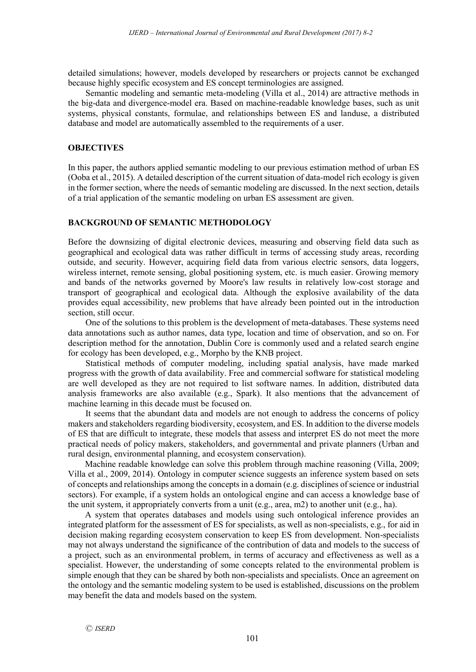detailed simulations; however, models developed by researchers or projects cannot be exchanged because highly specific ecosystem and ES concept terminologies are assigned.

Semantic modeling and semantic meta-modeling (Villa et al., 2014) are attractive methods in the big-data and divergence-model era. Based on machine-readable knowledge bases, such as unit systems, physical constants, formulae, and relationships between ES and landuse, a distributed database and model are automatically assembled to the requirements of a user.

## **OBJECTIVES**

In this paper, the authors applied semantic modeling to our previous estimation method of urban ES (Ooba et al., 2015). A detailed description of the current situation of data-model rich ecology is given in the former section, where the needs of semantic modeling are discussed. In the next section, details of a trial application of the semantic modeling on urban ES assessment are given.

## **BACKGROUND OF SEMANTIC METHODOLOGY**

Before the downsizing of digital electronic devices, measuring and observing field data such as geographical and ecological data was rather difficult in terms of accessing study areas, recording outside, and security. However, acquiring field data from various electric sensors, data loggers, wireless internet, remote sensing, global positioning system, etc. is much easier. Growing memory and bands of the networks governed by Moore's law results in relatively low-cost storage and transport of geographical and ecological data. Although the explosive availability of the data provides equal accessibility, new problems that have already been pointed out in the introduction section, still occur.

One of the solutions to this problem is the development of meta-databases. These systems need data annotations such as author names, data type, location and time of observation, and so on. For description method for the annotation, Dublin Core is commonly used and a related search engine for ecology has been developed, e.g., Morpho by the KNB project.

Statistical methods of computer modeling, including spatial analysis, have made marked progress with the growth of data availability. Free and commercial software for statistical modeling are well developed as they are not required to list software names. In addition, distributed data analysis frameworks are also available (e.g., Spark). It also mentions that the advancement of machine learning in this decade must be focused on.

It seems that the abundant data and models are not enough to address the concerns of policy makers and stakeholders regarding biodiversity, ecosystem, and ES. In addition to the diverse models of ES that are difficult to integrate, these models that assess and interpret ES do not meet the more practical needs of policy makers, stakeholders, and governmental and private planners (Urban and rural design, environmental planning, and ecosystem conservation).

Machine readable knowledge can solve this problem through machine reasoning (Villa, 2009; Villa et al., 2009, 2014). Ontology in computer science suggests an inference system based on sets of concepts and relationships among the concepts in a domain (e.g. disciplines of science or industrial sectors). For example, if a system holds an ontological engine and can access a knowledge base of the unit system, it appropriately converts from a unit (e.g., area, m2) to another unit (e.g., ha).

A system that operates databases and models using such ontological inference provides an integrated platform for the assessment of ES for specialists, as well as non-specialists, e.g., for aid in decision making regarding ecosystem conservation to keep ES from development. Non-specialists may not always understand the significance of the contribution of data and models to the success of a project, such as an environmental problem, in terms of accuracy and effectiveness as well as a specialist. However, the understanding of some concepts related to the environmental problem is simple enough that they can be shared by both non-specialists and specialists. Once an agreement on the ontology and the semantic modeling system to be used is established, discussions on the problem may benefit the data and models based on the system.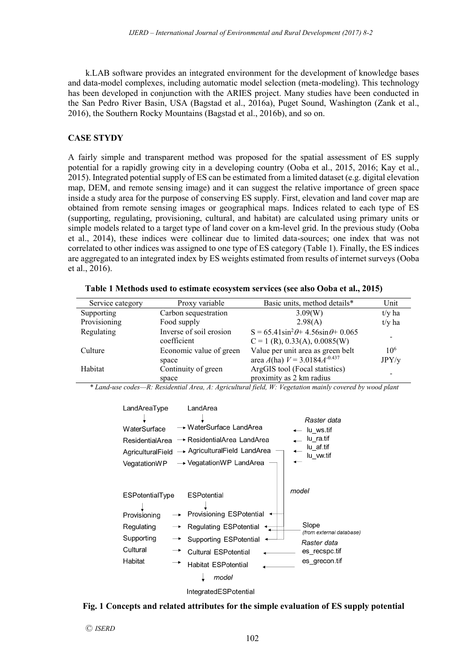k.LAB software provides an integrated environment for the development of knowledge bases and data-model complexes, including automatic model selection (meta-modeling). This technology has been developed in conjunction with the ARIES project. Many studies have been conducted in the San Pedro River Basin, USA (Bagstad et al., 2016a), Puget Sound, Washington (Zank et al., 2016), the Southern Rocky Mountains (Bagstad et al., 2016b), and so on.

# **CASE STYDY**

A fairly simple and transparent method was proposed for the spatial assessment of ES supply potential for a rapidly growing city in a developing country (Ooba et al., 2015, 2016; Kay et al., 2015). Integrated potential supply of ES can be estimated from a limited dataset (e.g. digital elevation map, DEM, and remote sensing image) and it can suggest the relative importance of green space inside a study area for the purpose of conserving ES supply. First, elevation and land cover map are obtained from remote sensing images or geographical maps. Indices related to each type of ES (supporting, regulating, provisioning, cultural, and habitat) are calculated using primary units or simple models related to a target type of land cover on a km-level grid. In the previous study (Ooba et al., 2014), these indices were collinear due to limited data-sources; one index that was not correlated to other indices was assigned to one type of ES category (Table 1). Finally, the ES indices are aggregated to an integrated index by ES weights estimated from results of internet surveys (Ooba et al., 2016).

| Service category | Proxy variable                         | Basic units, method details*                                                            | Unit                     |
|------------------|----------------------------------------|-----------------------------------------------------------------------------------------|--------------------------|
| Supporting       | Carbon sequestration                   | 3.09(W)                                                                                 | $t/y$ ha                 |
| Provisioning     | Food supply                            | 2.98(A)                                                                                 | $t/v$ ha                 |
| Regulating       | Inverse of soil erosion<br>coefficient | $S = 65.41 \sin^2 \theta + 4.56 \sin \theta + 0.065$<br>$C = 1$ (R), 0.33(A), 0.0085(W) |                          |
| Culture          | Economic value of green<br>space       | Value per unit area as green belt<br>area $A$ (ha) $V = 3.0184 \AA^{-0.437}$            | 10 <sup>6</sup><br>JPY/y |
| Habitat          | Continuity of green<br>space           | ArgGIS tool (Focal statistics)<br>proximity as 2 km radius                              |                          |

| Table 1 Methods used to estimate ecosystem services (see also Ooba et al., 2015) |  |
|----------------------------------------------------------------------------------|--|
|----------------------------------------------------------------------------------|--|

*\* Land-use codes—R: Residential Area, A: Agricultural field, W: Vegetation mainly covered by wood plant*

| LandAreaType      | LandArea                     |                                   |
|-------------------|------------------------------|-----------------------------------|
|                   |                              | Raster data                       |
| WaterSurface      | → WaterSurface LandArea      | lu ws.tif                         |
| ResidentialArea   | → ResidentialArea LandArea   | lu ra.tif                         |
| AgriculturalField | → AgriculturalField LandArea | lu af.tif<br>lu vw.tif            |
| VegatationWP      | → VegatationWP LandArea      |                                   |
|                   |                              |                                   |
|                   |                              |                                   |
| ESPotentialType   | <b>ESP</b> otential          | model                             |
|                   |                              |                                   |
| Provisioning      | Provisioning ESPotential ←   |                                   |
| Regulating        | Regulating ESPotential       | Slope<br>(from external database) |
| Supporting        | Supporting ESPotential       | Raster data                       |
| Cultural          | <b>Cultural ESPotential</b>  | es recspc.tif                     |
| Habitat           | <b>Habitat ESPotential</b>   | es grecon.tif                     |
|                   | model                        |                                   |
|                   |                              |                                   |



### **Fig. 1 Concepts and related attributes for the simple evaluation of ES supply potential**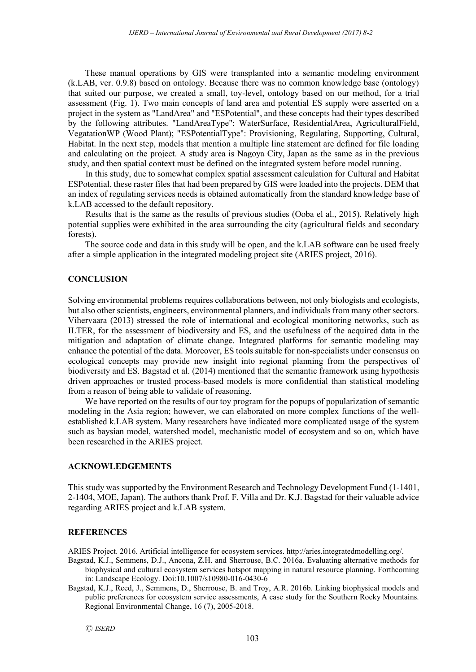These manual operations by GIS were transplanted into a semantic modeling environment (k.LAB, ver. 0.9.8) based on ontology. Because there was no common knowledge base (ontology) that suited our purpose, we created a small, toy-level, ontology based on our method, for a trial assessment (Fig. 1). Two main concepts of land area and potential ES supply were asserted on a project in the system as "LandArea" and "ESPotential", and these concepts had their types described by the following attributes. "LandAreaType": WaterSurface, ResidentialArea, AgriculturalField, VegatationWP (Wood Plant); "ESPotentialType": Provisioning, Regulating, Supporting, Cultural, Habitat. In the next step, models that mention a multiple line statement are defined for file loading and calculating on the project. A study area is Nagoya City, Japan as the same as in the previous study, and then spatial context must be defined on the integrated system before model running.

In this study, due to somewhat complex spatial assessment calculation for Cultural and Habitat ESPotential, these raster files that had been prepared by GIS were loaded into the projects. DEM that an index of regulating services needs is obtained automatically from the standard knowledge base of k.LAB accessed to the default repository.

Results that is the same as the results of previous studies (Ooba el al., 2015). Relatively high potential supplies were exhibited in the area surrounding the city (agricultural fields and secondary forests).

The source code and data in this study will be open, and the k.LAB software can be used freely after a simple application in the integrated modeling project site (ARIES project, 2016).

## **CONCLUSION**

Solving environmental problems requires collaborations between, not only biologists and ecologists, but also other scientists, engineers, environmental planners, and individuals from many other sectors. Vihervaara (2013) stressed the role of international and ecological monitoring networks, such as ILTER, for the assessment of biodiversity and ES, and the usefulness of the acquired data in the mitigation and adaptation of climate change. Integrated platforms for semantic modeling may enhance the potential of the data. Moreover, ES tools suitable for non-specialists under consensus on ecological concepts may provide new insight into regional planning from the perspectives of biodiversity and ES. Bagstad et al. (2014) mentioned that the semantic framework using hypothesis driven approaches or trusted process-based models is more confidential than statistical modeling from a reason of being able to validate of reasoning.

We have reported on the results of our toy program for the popups of popularization of semantic modeling in the Asia region; however, we can elaborated on more complex functions of the wellestablished k.LAB system. Many researchers have indicated more complicated usage of the system such as baysian model, watershed model, mechanistic model of ecosystem and so on, which have been researched in the ARIES project.

## **ACKNOWLEDGEMENTS**

This study was supported by the Environment Research and Technology Development Fund (1-1401, 2-1404, MOE, Japan). The authors thank Prof. F. Villa and Dr. K.J. Bagstad for their valuable advice regarding ARIES project and k.LAB system.

## **REFERENCES**

ARIES Project. 2016. Artificial intelligence for ecosystem services. http://aries.integratedmodelling.org/.

- Bagstad, K.J., Semmens, D.J., Ancona, Z.H. and Sherrouse, B.C. 2016a. Evaluating alternative methods for biophysical and cultural ecosystem services hotspot mapping in natural resource planning. Forthcoming in: Landscape Ecology. Doi:10.1007/s10980-016-0430-6
- Bagstad, K.J., Reed, J., Semmens, D., Sherrouse, B. and Troy, A.R. 2016b. Linking biophysical models and public preferences for ecosystem service assessments, A case study for the Southern Rocky Mountains. Regional Environmental Change, 16 (7), 2005-2018.